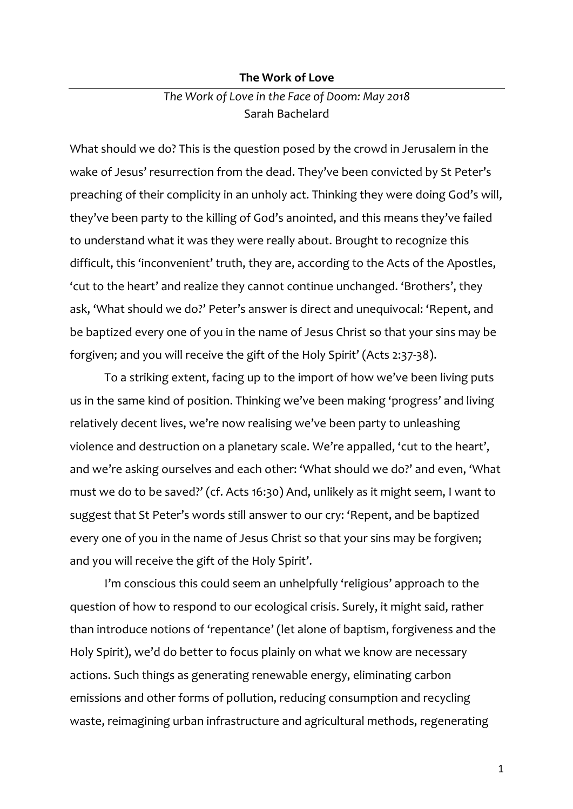#### **The Work of Love**

# *The Work of Love in the Face of Doom: May 2018* Sarah Bachelard

What should we do? This is the question posed by the crowd in Jerusalem in the wake of Jesus' resurrection from the dead. They've been convicted by St Peter's preaching of their complicity in an unholy act. Thinking they were doing God's will, they've been party to the killing of God's anointed, and this means they've failed to understand what it was they were really about. Brought to recognize this difficult, this 'inconvenient' truth, they are, according to the Acts of the Apostles, 'cut to the heart' and realize they cannot continue unchanged. 'Brothers', they ask, 'What should we do?' Peter's answer is direct and unequivocal: 'Repent, and be baptized every one of you in the name of Jesus Christ so that your sins may be forgiven; and you will receive the gift of the Holy Spirit' (Acts 2:37-38).

To a striking extent, facing up to the import of how we've been living puts us in the same kind of position. Thinking we've been making 'progress' and living relatively decent lives, we're now realising we've been party to unleashing violence and destruction on a planetary scale. We're appalled, 'cut to the heart', and we're asking ourselves and each other: 'What should we do?' and even, 'What must we do to be saved?' (cf. Acts 16:30) And, unlikely as it might seem, I want to suggest that St Peter's words still answer to our cry: 'Repent, and be baptized every one of you in the name of Jesus Christ so that your sins may be forgiven; and you will receive the gift of the Holy Spirit'.

I'm conscious this could seem an unhelpfully 'religious' approach to the question of how to respond to our ecological crisis. Surely, it might said, rather than introduce notions of 'repentance' (let alone of baptism, forgiveness and the Holy Spirit), we'd do better to focus plainly on what we know are necessary actions. Such things as generating renewable energy, eliminating carbon emissions and other forms of pollution, reducing consumption and recycling waste, reimagining urban infrastructure and agricultural methods, regenerating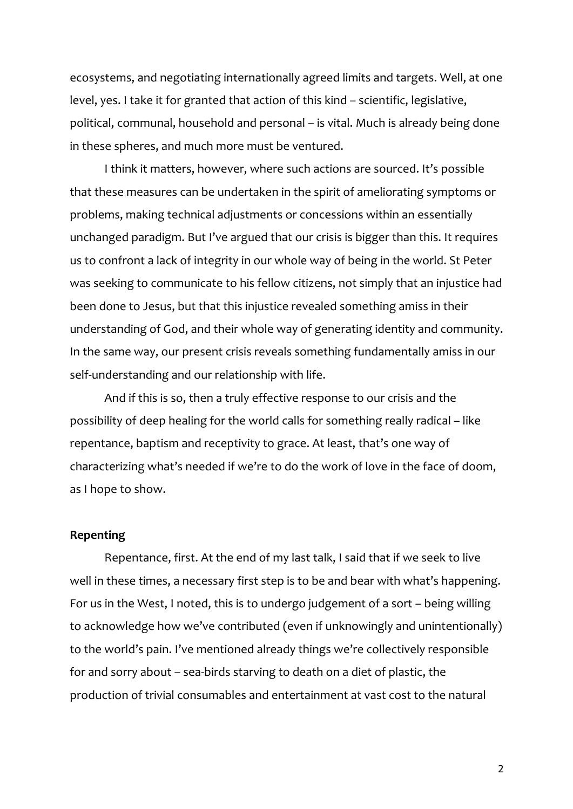ecosystems, and negotiating internationally agreed limits and targets. Well, at one level, yes. I take it for granted that action of this kind – scientific, legislative, political, communal, household and personal – is vital. Much is already being done in these spheres, and much more must be ventured.

I think it matters, however, where such actions are sourced. It's possible that these measures can be undertaken in the spirit of ameliorating symptoms or problems, making technical adjustments or concessions within an essentially unchanged paradigm. But I've argued that our crisis is bigger than this. It requires us to confront a lack of integrity in our whole way of being in the world. St Peter was seeking to communicate to his fellow citizens, not simply that an injustice had been done to Jesus, but that this injustice revealed something amiss in their understanding of God, and their whole way of generating identity and community. In the same way, our present crisis reveals something fundamentally amiss in our self-understanding and our relationship with life.

And if this is so, then a truly effective response to our crisis and the possibility of deep healing for the world calls for something really radical – like repentance, baptism and receptivity to grace. At least, that's one way of characterizing what's needed if we're to do the work of love in the face of doom, as I hope to show.

# **Repenting**

Repentance, first. At the end of my last talk, I said that if we seek to live well in these times, a necessary first step is to be and bear with what's happening. For us in the West, I noted, this is to undergo judgement of a sort – being willing to acknowledge how we've contributed (even if unknowingly and unintentionally) to the world's pain. I've mentioned already things we're collectively responsible for and sorry about – sea-birds starving to death on a diet of plastic, the production of trivial consumables and entertainment at vast cost to the natural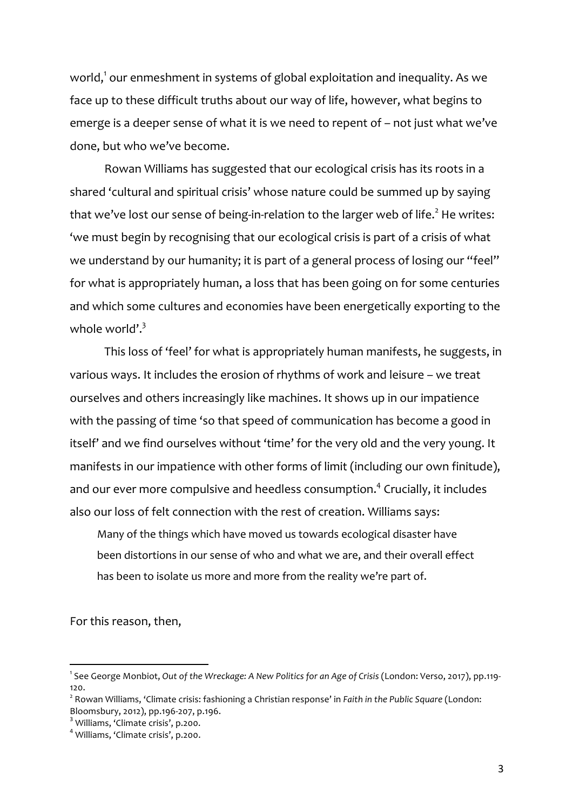world, $^1$  our enmeshment in systems of global exploitation and inequality. As we face up to these difficult truths about our way of life, however, what begins to emerge is a deeper sense of what it is we need to repent of – not just what we've done, but who we've become.

Rowan Williams has suggested that our ecological crisis has its roots in a shared 'cultural and spiritual crisis' whose nature could be summed up by saying that we've lost our sense of being-in-relation to the larger web of life.<sup>2</sup> He writes: 'we must begin by recognising that our ecological crisis is part of a crisis of what we understand by our humanity; it is part of a general process of losing our "feel" for what is appropriately human, a loss that has been going on for some centuries and which some cultures and economies have been energetically exporting to the whole world'. $3$ 

This loss of 'feel' for what is appropriately human manifests, he suggests, in various ways. It includes the erosion of rhythms of work and leisure – we treat ourselves and others increasingly like machines. It shows up in our impatience with the passing of time 'so that speed of communication has become a good in itself' and we find ourselves without 'time' for the very old and the very young. It manifests in our impatience with other forms of limit (including our own finitude), and our ever more compulsive and heedless consumption.<sup>4</sup> Crucially, it includes also our loss of felt connection with the rest of creation. Williams says:

Many of the things which have moved us towards ecological disaster have been distortions in our sense of who and what we are, and their overall effect has been to isolate us more and more from the reality we're part of.

For this reason, then,

<sup>1</sup> See George Monbiot, *Out of the Wreckage: A New Politics for an Age of Crisis* (London: Verso, 2017), pp.119- 120.

<sup>2</sup> Rowan Williams, 'Climate crisis: fashioning a Christian response' in *Faith in the Public Square* (London: Bloomsbury, 2012), pp.196-207, p.196.<br> $3$  Williams, 'Climate crisis', p.200.<br> $4$  Williams. 'Climate crisis', p.200.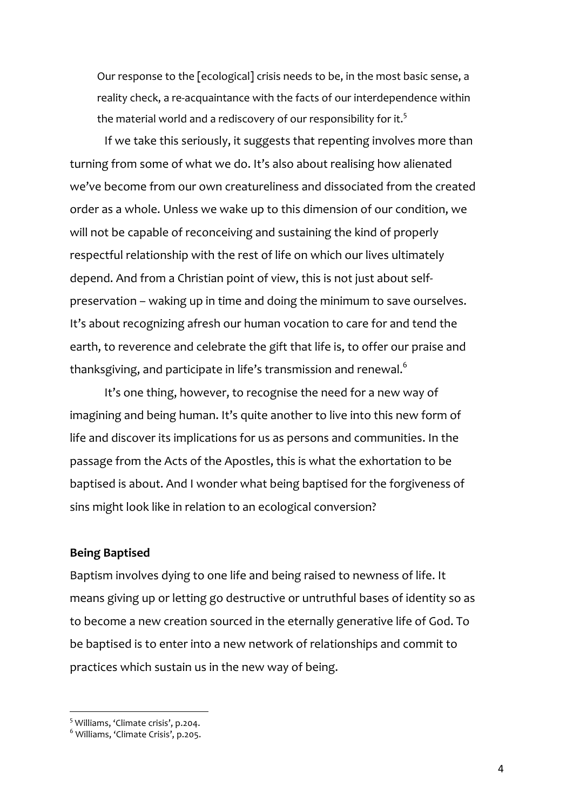Our response to the [ecological] crisis needs to be, in the most basic sense, a reality check, a re-acquaintance with the facts of our interdependence within the material world and a rediscovery of our responsibility for it.<sup>5</sup>

If we take this seriously, it suggests that repenting involves more than turning from some of what we do. It's also about realising how alienated we've become from our own creatureliness and dissociated from the created order as a whole. Unless we wake up to this dimension of our condition, we will not be capable of reconceiving and sustaining the kind of properly respectful relationship with the rest of life on which our lives ultimately depend. And from a Christian point of view, this is not just about selfpreservation – waking up in time and doing the minimum to save ourselves. It's about recognizing afresh our human vocation to care for and tend the earth, to reverence and celebrate the gift that life is, to offer our praise and thanksgiving, and participate in life's transmission and renewal. $^{\rm 6}$ 

It's one thing, however, to recognise the need for a new way of imagining and being human. It's quite another to live into this new form of life and discover its implications for us as persons and communities. In the passage from the Acts of the Apostles, this is what the exhortation to be baptised is about. And I wonder what being baptised for the forgiveness of sins might look like in relation to an ecological conversion?

# **Being Baptised**

Baptism involves dying to one life and being raised to newness of life. It means giving up or letting go destructive or untruthful bases of identity so as to become a new creation sourced in the eternally generative life of God. To be baptised is to enter into a new network of relationships and commit to practices which sustain us in the new way of being.

 <sup>5</sup> Williams, 'Climate crisis', p.204.

<sup>6</sup> Williams, 'Climate Crisis', p.205.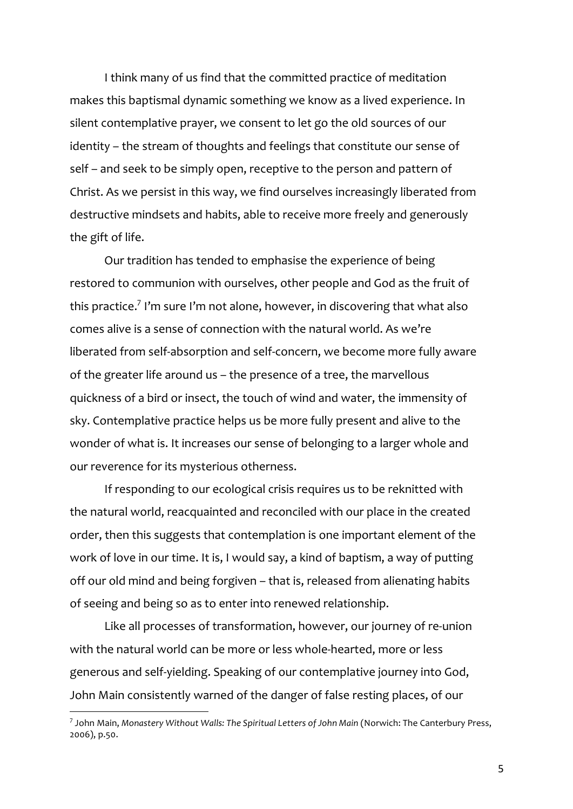I think many of us find that the committed practice of meditation makes this baptismal dynamic something we know as a lived experience. In silent contemplative prayer, we consent to let go the old sources of our identity – the stream of thoughts and feelings that constitute our sense of self – and seek to be simply open, receptive to the person and pattern of Christ. As we persist in this way, we find ourselves increasingly liberated from destructive mindsets and habits, able to receive more freely and generously the gift of life.

Our tradition has tended to emphasise the experience of being restored to communion with ourselves, other people and God as the fruit of this practice. <sup>7</sup> I'm sure I'm not alone, however, in discovering that what also comes alive is a sense of connection with the natural world. As we're liberated from self-absorption and self-concern, we become more fully aware of the greater life around us – the presence of a tree, the marvellous quickness of a bird or insect, the touch of wind and water, the immensity of sky. Contemplative practice helps us be more fully present and alive to the wonder of what is. It increases our sense of belonging to a larger whole and our reverence for its mysterious otherness.

If responding to our ecological crisis requires us to be reknitted with the natural world, reacquainted and reconciled with our place in the created order, then this suggests that contemplation is one important element of the work of love in our time. It is, I would say, a kind of baptism, a way of putting off our old mind and being forgiven – that is, released from alienating habits of seeing and being so as to enter into renewed relationship.

Like all processes of transformation, however, our journey of re-union with the natural world can be more or less whole-hearted, more or less generous and self-yielding. Speaking of our contemplative journey into God, John Main consistently warned of the danger of false resting places, of our

<sup>7</sup> John Main, *Monastery Without Walls: The Spiritual Letters of John Main* (Norwich: The Canterbury Press, 2006), p.50.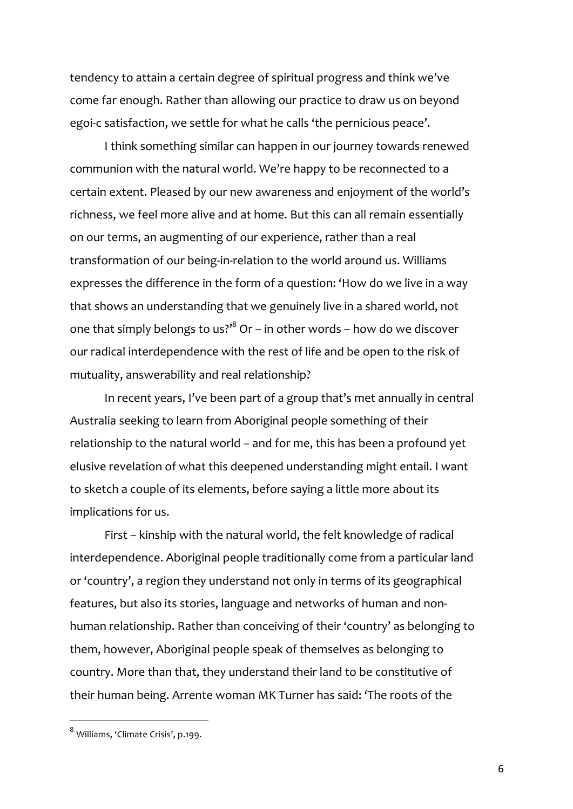tendency to attain a certain degree of spiritual progress and think we've come far enough. Rather than allowing our practice to draw us on beyond egoi-c satisfaction, we settle for what he calls 'the pernicious peace'.

I think something similar can happen in our journey towards renewed communion with the natural world. We're happy to be reconnected to a certain extent. Pleased by our new awareness and enjoyment of the world's richness, we feel more alive and at home. But this can all remain essentially on our terms, an augmenting of our experience, rather than a real transformation of our being-in-relation to the world around us. Williams expresses the difference in the form of a question: 'How do we live in a way that shows an understanding that we genuinely live in a shared world, not one that simply belongs to us? $10<sup>8</sup>$  Or – in other words – how do we discover our radical interdependence with the rest of life and be open to the risk of mutuality, answerability and real relationship?

In recent years, I've been part of a group that's met annually in central Australia seeking to learn from Aboriginal people something of their relationship to the natural world – and for me, this has been a profound yet elusive revelation of what this deepened understanding might entail. I want to sketch a couple of its elements, before saying a little more about its implications for us.

First – kinship with the natural world, the felt knowledge of radical interdependence. Aboriginal people traditionally come from a particular land or 'country', a region they understand not only in terms of its geographical features, but also its stories, language and networks of human and nonhuman relationship. Rather than conceiving of their 'country' as belonging to them, however, Aboriginal people speak of themselves as belonging to country. More than that, they understand their land to be constitutive of their human being. Arrente woman MK Turner has said: 'The roots of the

 <sup>8</sup> Williams, 'Climate Crisis', p.199.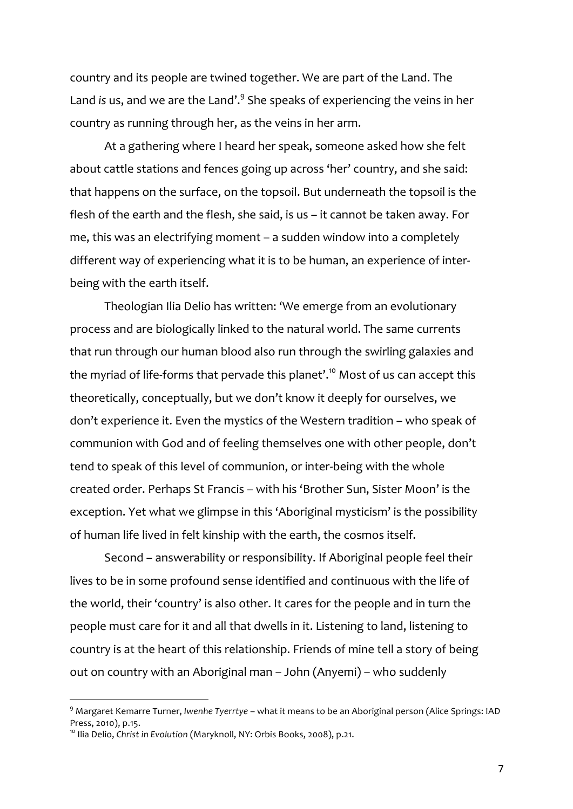country and its people are twined together. We are part of the Land. The Land *is* us, and we are the Land'.9 She speaks of experiencing the veins in her country as running through her, as the veins in her arm.

At a gathering where I heard her speak, someone asked how she felt about cattle stations and fences going up across 'her' country, and she said: that happens on the surface, on the topsoil. But underneath the topsoil is the flesh of the earth and the flesh, she said, is us – it cannot be taken away. For me, this was an electrifying moment – a sudden window into a completely different way of experiencing what it is to be human, an experience of interbeing with the earth itself.

Theologian Ilia Delio has written: 'We emerge from an evolutionary process and are biologically linked to the natural world. The same currents that run through our human blood also run through the swirling galaxies and the myriad of life-forms that pervade this planet'.<sup>10</sup> Most of us can accept this theoretically, conceptually, but we don't know it deeply for ourselves, we don't experience it. Even the mystics of the Western tradition – who speak of communion with God and of feeling themselves one with other people, don't tend to speak of this level of communion, or inter-being with the whole created order. Perhaps St Francis – with his 'Brother Sun, Sister Moon' is the exception. Yet what we glimpse in this 'Aboriginal mysticism' is the possibility of human life lived in felt kinship with the earth, the cosmos itself.

Second – answerability or responsibility. If Aboriginal people feel their lives to be in some profound sense identified and continuous with the life of the world, their 'country' is also other. It cares for the people and in turn the people must care for it and all that dwells in it. Listening to land, listening to country is at the heart of this relationship. Friends of mine tell a story of being out on country with an Aboriginal man – John (Anyemi) – who suddenly

<sup>9</sup> Margaret Kemarre Turner, *Iwenhe Tyerrtye* – what it means to be an Aboriginal person (Alice Springs: IAD Press, 2010), p.15.

<sup>&</sup>lt;sup>10</sup> Ilia Delio, *Christ in Evolution* (Maryknoll, NY: Orbis Books, 2008), p.21.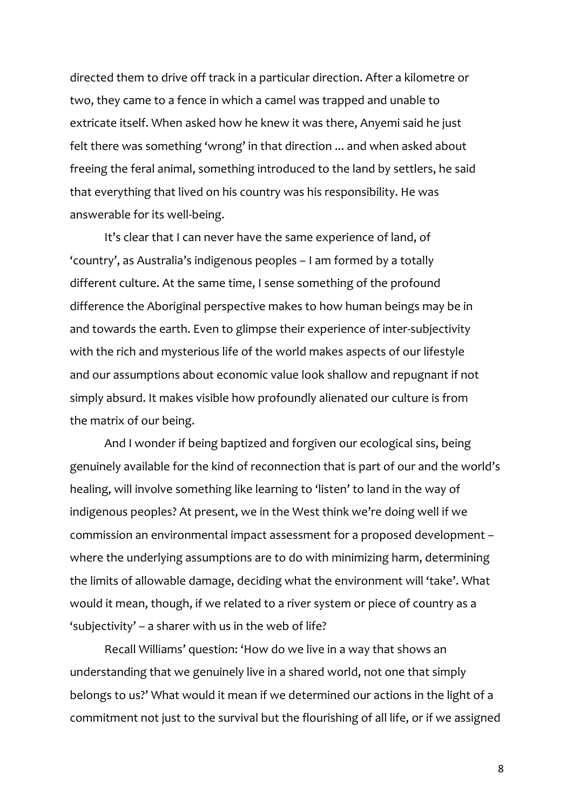directed them to drive off track in a particular direction. After a kilometre or two, they came to a fence in which a camel was trapped and unable to extricate itself. When asked how he knew it was there, Anyemi said he just felt there was something 'wrong' in that direction ... and when asked about freeing the feral animal, something introduced to the land by settlers, he said that everything that lived on his country was his responsibility. He was answerable for its well-being.

It's clear that I can never have the same experience of land, of 'country', as Australia's indigenous peoples – I am formed by a totally different culture. At the same time, I sense something of the profound difference the Aboriginal perspective makes to how human beings may be in and towards the earth. Even to glimpse their experience of inter-subjectivity with the rich and mysterious life of the world makes aspects of our lifestyle and our assumptions about economic value look shallow and repugnant if not simply absurd. It makes visible how profoundly alienated our culture is from the matrix of our being.

And I wonder if being baptized and forgiven our ecological sins, being genuinely available for the kind of reconnection that is part of our and the world's healing, will involve something like learning to 'listen' to land in the way of indigenous peoples? At present, we in the West think we're doing well if we commission an environmental impact assessment for a proposed development – where the underlying assumptions are to do with minimizing harm, determining the limits of allowable damage, deciding what the environment will 'take'. What would it mean, though, if we related to a river system or piece of country as a 'subjectivity' – a sharer with us in the web of life?

Recall Williams' question: 'How do we live in a way that shows an understanding that we genuinely live in a shared world, not one that simply belongs to us?' What would it mean if we determined our actions in the light of a commitment not just to the survival but the flourishing of all life, or if we assigned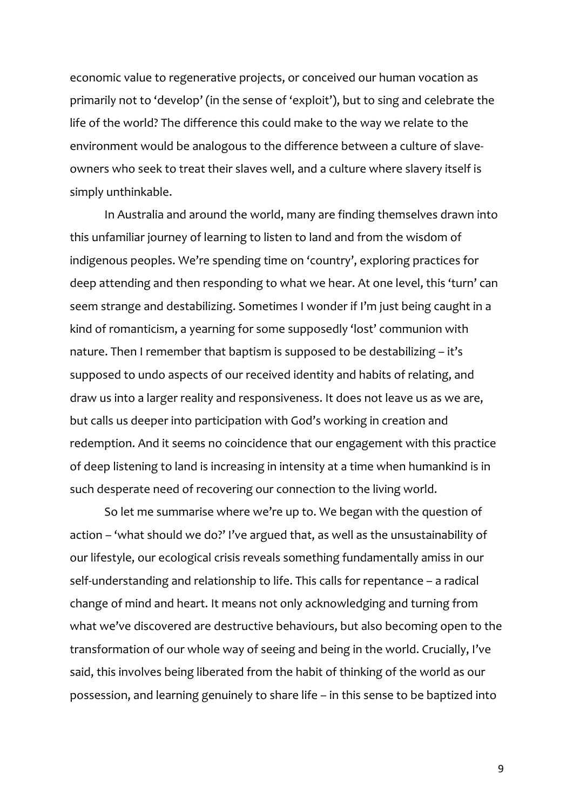economic value to regenerative projects, or conceived our human vocation as primarily not to 'develop' (in the sense of 'exploit'), but to sing and celebrate the life of the world? The difference this could make to the way we relate to the environment would be analogous to the difference between a culture of slaveowners who seek to treat their slaves well, and a culture where slavery itself is simply unthinkable.

In Australia and around the world, many are finding themselves drawn into this unfamiliar journey of learning to listen to land and from the wisdom of indigenous peoples. We're spending time on 'country', exploring practices for deep attending and then responding to what we hear. At one level, this 'turn' can seem strange and destabilizing. Sometimes I wonder if I'm just being caught in a kind of romanticism, a yearning for some supposedly 'lost' communion with nature. Then I remember that baptism is supposed to be destabilizing – it's supposed to undo aspects of our received identity and habits of relating, and draw us into a larger reality and responsiveness. It does not leave us as we are, but calls us deeper into participation with God's working in creation and redemption. And it seems no coincidence that our engagement with this practice of deep listening to land is increasing in intensity at a time when humankind is in such desperate need of recovering our connection to the living world.

So let me summarise where we're up to. We began with the question of action – 'what should we do?' I've argued that, as well as the unsustainability of our lifestyle, our ecological crisis reveals something fundamentally amiss in our self-understanding and relationship to life. This calls for repentance – a radical change of mind and heart. It means not only acknowledging and turning from what we've discovered are destructive behaviours, but also becoming open to the transformation of our whole way of seeing and being in the world. Crucially, I've said, this involves being liberated from the habit of thinking of the world as our possession, and learning genuinely to share life – in this sense to be baptized into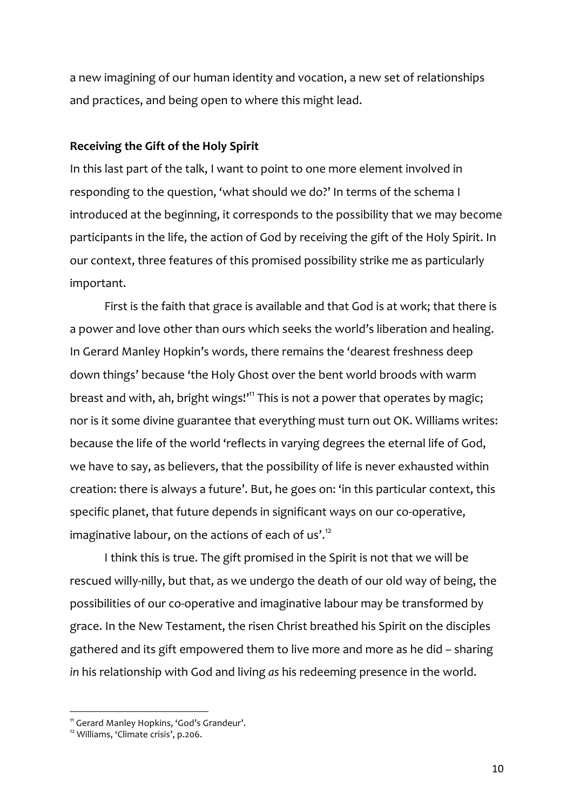a new imagining of our human identity and vocation, a new set of relationships and practices, and being open to where this might lead.

# **Receiving the Gift of the Holy Spirit**

In this last part of the talk, I want to point to one more element involved in responding to the question, 'what should we do?' In terms of the schema I introduced at the beginning, it corresponds to the possibility that we may become participants in the life, the action of God by receiving the gift of the Holy Spirit. In our context, three features of this promised possibility strike me as particularly important.

First is the faith that grace is available and that God is at work; that there is a power and love other than ours which seeks the world's liberation and healing. In Gerard Manley Hopkin's words, there remains the 'dearest freshness deep down things' because 'the Holy Ghost over the bent world broods with warm breast and with, ah, bright wings!'<sup>11</sup> This is not a power that operates by magic; nor is it some divine guarantee that everything must turn out OK. Williams writes: because the life of the world 'reflects in varying degrees the eternal life of God, we have to say, as believers, that the possibility of life is never exhausted within creation: there is always a future'. But, he goes on: 'in this particular context, this specific planet, that future depends in significant ways on our co-operative, imaginative labour, on the actions of each of us'.<sup>12</sup>

I think this is true. The gift promised in the Spirit is not that we will be rescued willy-nilly, but that, as we undergo the death of our old way of being, the possibilities of our co-operative and imaginative labour may be transformed by grace. In the New Testament, the risen Christ breathed his Spirit on the disciples gathered and its gift empowered them to live more and more as he did – sharing *in* his relationship with God and living *as* his redeeming presence in the world.

<sup>&</sup>lt;sup>11</sup> Gerard Manley Hopkins, 'God's Grandeur'.

<sup>12</sup> Williams, 'Climate crisis', p.206.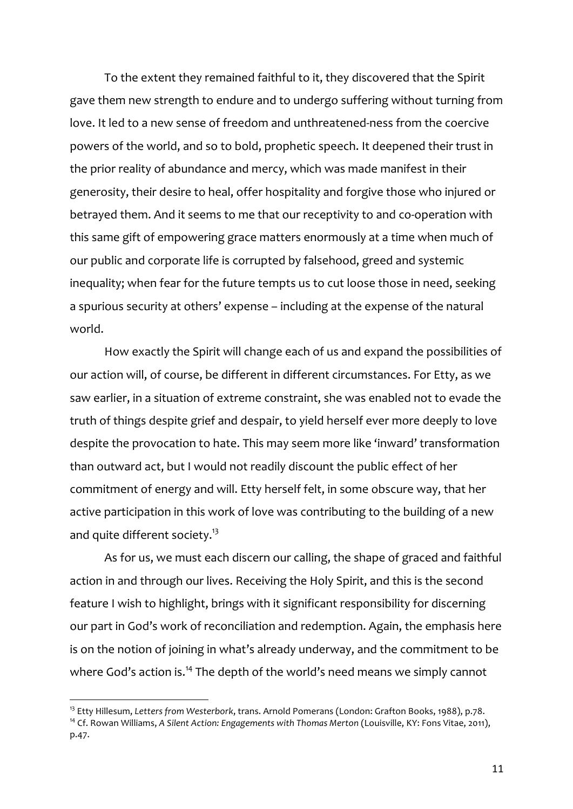To the extent they remained faithful to it, they discovered that the Spirit gave them new strength to endure and to undergo suffering without turning from love. It led to a new sense of freedom and unthreatened-ness from the coercive powers of the world, and so to bold, prophetic speech. It deepened their trust in the prior reality of abundance and mercy, which was made manifest in their generosity, their desire to heal, offer hospitality and forgive those who injured or betrayed them. And it seems to me that our receptivity to and co-operation with this same gift of empowering grace matters enormously at a time when much of our public and corporate life is corrupted by falsehood, greed and systemic inequality; when fear for the future tempts us to cut loose those in need, seeking a spurious security at others' expense – including at the expense of the natural world.

How exactly the Spirit will change each of us and expand the possibilities of our action will, of course, be different in different circumstances. For Etty, as we saw earlier, in a situation of extreme constraint, she was enabled not to evade the truth of things despite grief and despair, to yield herself ever more deeply to love despite the provocation to hate. This may seem more like 'inward' transformation than outward act, but I would not readily discount the public effect of her commitment of energy and will. Etty herself felt, in some obscure way, that her active participation in this work of love was contributing to the building of a new and quite different society.<sup>13</sup>

As for us, we must each discern our calling, the shape of graced and faithful action in and through our lives. Receiving the Holy Spirit, and this is the second feature I wish to highlight, brings with it significant responsibility for discerning our part in God's work of reconciliation and redemption. Again, the emphasis here is on the notion of joining in what's already underway, and the commitment to be where God's action is.<sup>14</sup> The depth of the world's need means we simply cannot

<sup>13</sup> Etty Hillesum, *Letters from Westerbork*, trans. Arnold Pomerans (London: Grafton Books, 1988), p.78.

<sup>14</sup> Cf. Rowan Williams, *A Silent Action: Engagements with Thomas Merton* (Louisville, KY: Fons Vitae, 2011), p.47.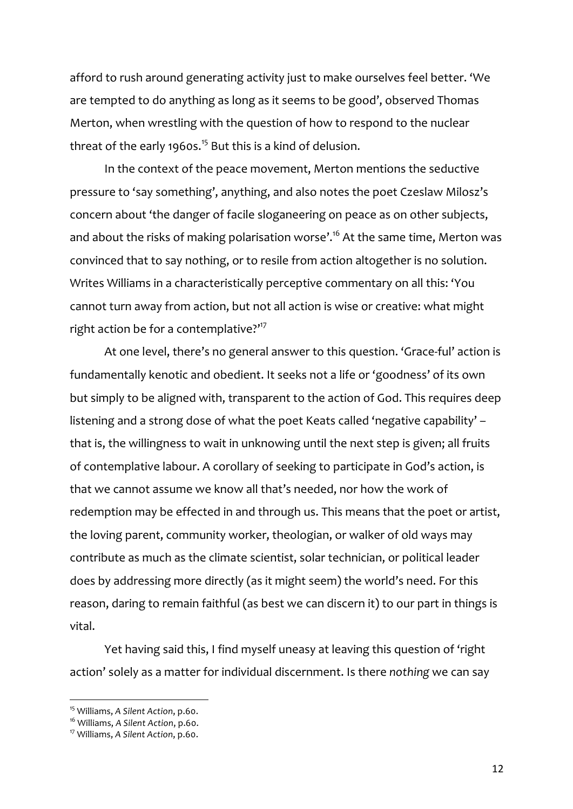afford to rush around generating activity just to make ourselves feel better. 'We are tempted to do anything as long as it seems to be good', observed Thomas Merton, when wrestling with the question of how to respond to the nuclear threat of the early 1960s.<sup>15</sup> But this is a kind of delusion.

In the context of the peace movement, Merton mentions the seductive pressure to 'say something', anything, and also notes the poet Czeslaw Milosz's concern about 'the danger of facile sloganeering on peace as on other subjects, and about the risks of making polarisation worse'.<sup>16</sup> At the same time, Merton was convinced that to say nothing, or to resile from action altogether is no solution. Writes Williams in a characteristically perceptive commentary on all this: 'You cannot turn away from action, but not all action is wise or creative: what might right action be for a contemplative?"<sup>17</sup>

At one level, there's no general answer to this question. 'Grace-ful' action is fundamentally kenotic and obedient. It seeks not a life or 'goodness' of its own but simply to be aligned with, transparent to the action of God. This requires deep listening and a strong dose of what the poet Keats called 'negative capability' – that is, the willingness to wait in unknowing until the next step is given; all fruits of contemplative labour. A corollary of seeking to participate in God's action, is that we cannot assume we know all that's needed, nor how the work of redemption may be effected in and through us. This means that the poet or artist, the loving parent, community worker, theologian, or walker of old ways may contribute as much as the climate scientist, solar technician, or political leader does by addressing more directly (as it might seem) the world's need. For this reason, daring to remain faithful (as best we can discern it) to our part in things is vital.

Yet having said this, I find myself uneasy at leaving this question of 'right action' solely as a matter for individual discernment. Is there *nothing* we can say

<sup>15</sup> Williams, *A Silent Action*, p.60.

<sup>16</sup> Williams, *A Silent Action*, p.60.

<sup>17</sup> Williams, *A Silent Action*, p.60.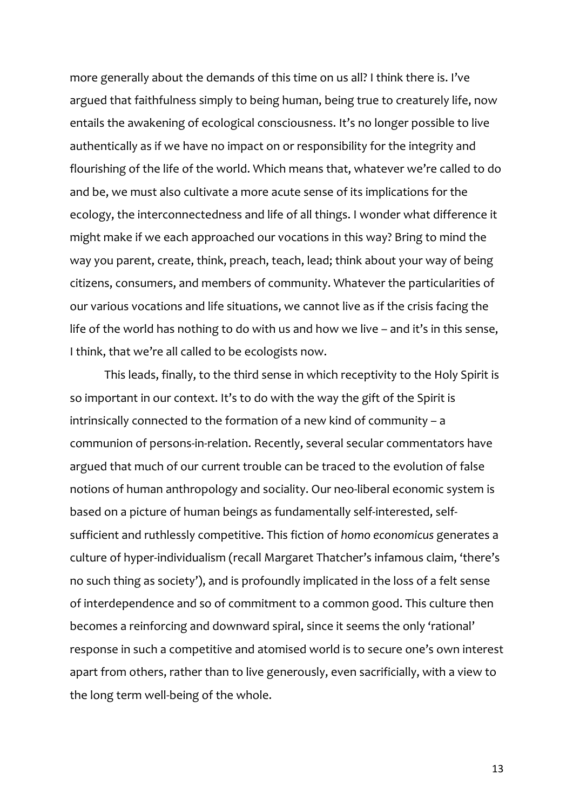more generally about the demands of this time on us all? I think there is. I've argued that faithfulness simply to being human, being true to creaturely life, now entails the awakening of ecological consciousness. It's no longer possible to live authentically as if we have no impact on or responsibility for the integrity and flourishing of the life of the world. Which means that, whatever we're called to do and be, we must also cultivate a more acute sense of its implications for the ecology, the interconnectedness and life of all things. I wonder what difference it might make if we each approached our vocations in this way? Bring to mind the way you parent, create, think, preach, teach, lead; think about your way of being citizens, consumers, and members of community. Whatever the particularities of our various vocations and life situations, we cannot live as if the crisis facing the life of the world has nothing to do with us and how we live – and it's in this sense, I think, that we're all called to be ecologists now.

This leads, finally, to the third sense in which receptivity to the Holy Spirit is so important in our context. It's to do with the way the gift of the Spirit is intrinsically connected to the formation of a new kind of community – a communion of persons-in-relation. Recently, several secular commentators have argued that much of our current trouble can be traced to the evolution of false notions of human anthropology and sociality. Our neo-liberal economic system is based on a picture of human beings as fundamentally self-interested, selfsufficient and ruthlessly competitive. This fiction of *homo economicus* generates a culture of hyper-individualism (recall Margaret Thatcher's infamous claim, 'there's no such thing as society'), and is profoundly implicated in the loss of a felt sense of interdependence and so of commitment to a common good. This culture then becomes a reinforcing and downward spiral, since it seems the only 'rational' response in such a competitive and atomised world is to secure one's own interest apart from others, rather than to live generously, even sacrificially, with a view to the long term well-being of the whole.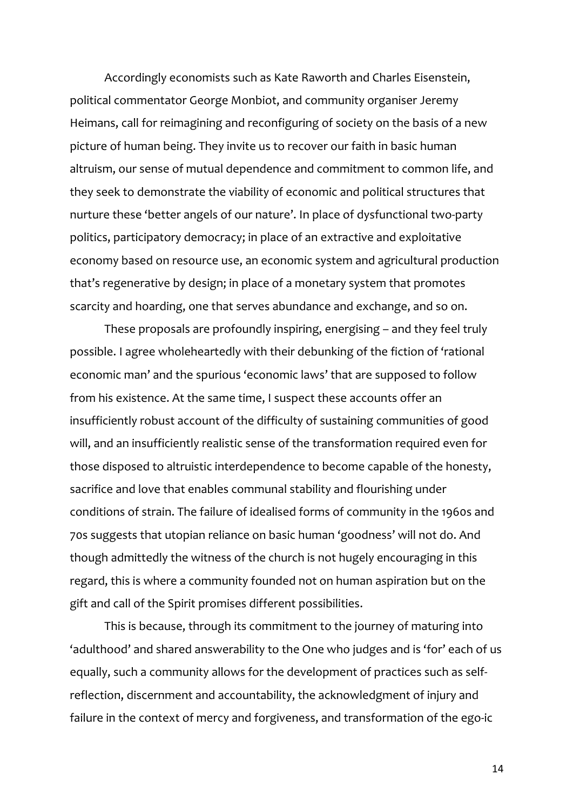Accordingly economists such as Kate Raworth and Charles Eisenstein, political commentator George Monbiot, and community organiser Jeremy Heimans, call for reimagining and reconfiguring of society on the basis of a new picture of human being. They invite us to recover our faith in basic human altruism, our sense of mutual dependence and commitment to common life, and they seek to demonstrate the viability of economic and political structures that nurture these 'better angels of our nature'. In place of dysfunctional two-party politics, participatory democracy; in place of an extractive and exploitative economy based on resource use, an economic system and agricultural production that's regenerative by design; in place of a monetary system that promotes scarcity and hoarding, one that serves abundance and exchange, and so on.

These proposals are profoundly inspiring, energising – and they feel truly possible. I agree wholeheartedly with their debunking of the fiction of 'rational economic man' and the spurious 'economic laws' that are supposed to follow from his existence. At the same time, I suspect these accounts offer an insufficiently robust account of the difficulty of sustaining communities of good will, and an insufficiently realistic sense of the transformation required even for those disposed to altruistic interdependence to become capable of the honesty, sacrifice and love that enables communal stability and flourishing under conditions of strain. The failure of idealised forms of community in the 1960s and 70s suggests that utopian reliance on basic human 'goodness' will not do. And though admittedly the witness of the church is not hugely encouraging in this regard, this is where a community founded not on human aspiration but on the gift and call of the Spirit promises different possibilities.

This is because, through its commitment to the journey of maturing into 'adulthood' and shared answerability to the One who judges and is 'for' each of us equally, such a community allows for the development of practices such as selfreflection, discernment and accountability, the acknowledgment of injury and failure in the context of mercy and forgiveness, and transformation of the ego-ic